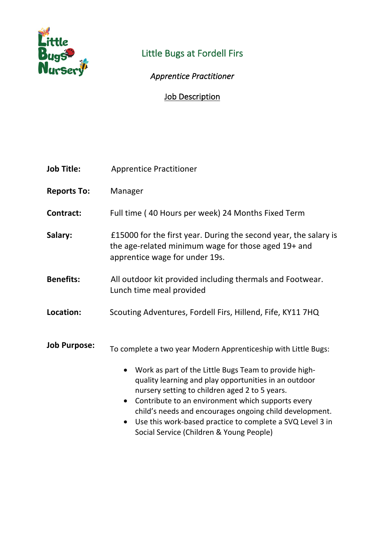

# Little Bugs at Fordell Firs

## *Apprentice Practitioner*

### **Job Description**

| <b>Job Title:</b>   | <b>Apprentice Practitioner</b>                                                                                                                                                                                                                                                                                                                                                                                                                                                                     |
|---------------------|----------------------------------------------------------------------------------------------------------------------------------------------------------------------------------------------------------------------------------------------------------------------------------------------------------------------------------------------------------------------------------------------------------------------------------------------------------------------------------------------------|
| <b>Reports To:</b>  | Manager                                                                                                                                                                                                                                                                                                                                                                                                                                                                                            |
| Contract:           | Full time (40 Hours per week) 24 Months Fixed Term                                                                                                                                                                                                                                                                                                                                                                                                                                                 |
| Salary:             | £15000 for the first year. During the second year, the salary is<br>the age-related minimum wage for those aged 19+ and<br>apprentice wage for under 19s.                                                                                                                                                                                                                                                                                                                                          |
| <b>Benefits:</b>    | All outdoor kit provided including thermals and Footwear.<br>Lunch time meal provided                                                                                                                                                                                                                                                                                                                                                                                                              |
| Location:           | Scouting Adventures, Fordell Firs, Hillend, Fife, KY11 7HQ                                                                                                                                                                                                                                                                                                                                                                                                                                         |
| <b>Job Purpose:</b> | To complete a two year Modern Apprenticeship with Little Bugs:<br>Work as part of the Little Bugs Team to provide high-<br>$\bullet$<br>quality learning and play opportunities in an outdoor<br>nursery setting to children aged 2 to 5 years.<br>Contribute to an environment which supports every<br>$\bullet$<br>child's needs and encourages ongoing child development.<br>Use this work-based practice to complete a SVQ Level 3 in<br>$\bullet$<br>Social Service (Children & Young People) |